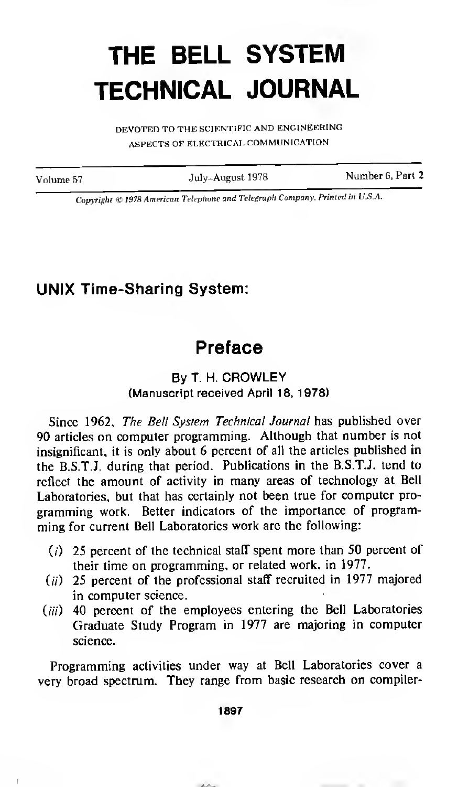## THE BELL SYSTEM TECHNICAL JOURNAL

DEVOTED TO THE SCIENTIFIC AND ENGINEERING ASPECTS OF ELECTRICAL COMMUNICATION

Volume <sup>57</sup> July-August <sup>1978</sup> Number 6, Part <sup>2</sup>

Copyright © <sup>1978</sup> American Telephone and Telegraph Company. Printed in U.S.A.

## UNIX Time-Sharing System:

## Preface

## By T. H. CROWLEY (Manuscript received April 18, 1978)

Since 1962, The Bell System Technical Journal has published over 90 articles on computer programming. Although that number is not insignificant, it is only about 6 percent of all the articles published in the B.S.T.J. during that period. Publications in the B.S.T.J. tend to reflect the amount of activity in many areas of technology at Bell Laboratories, but that has certainly not been true for computer programming work. Better indicators of the importance of programming for current Bell Laboratories work are the following:

- $(i)$  25 percent of the technical staff spent more than 50 percent of their time on programming, or related work, in 1977.
- $(i)$  25 percent of the professional staff recruited in 1977 majored in computer science.
- $(iii)$  40 percent of the employees entering the Bell Laboratories Graduate Study Program in 1977 are majoring in computer science.

Programming activities under way at Bell Laboratories cover a very broad spectrum. They range from basic research on compiler-